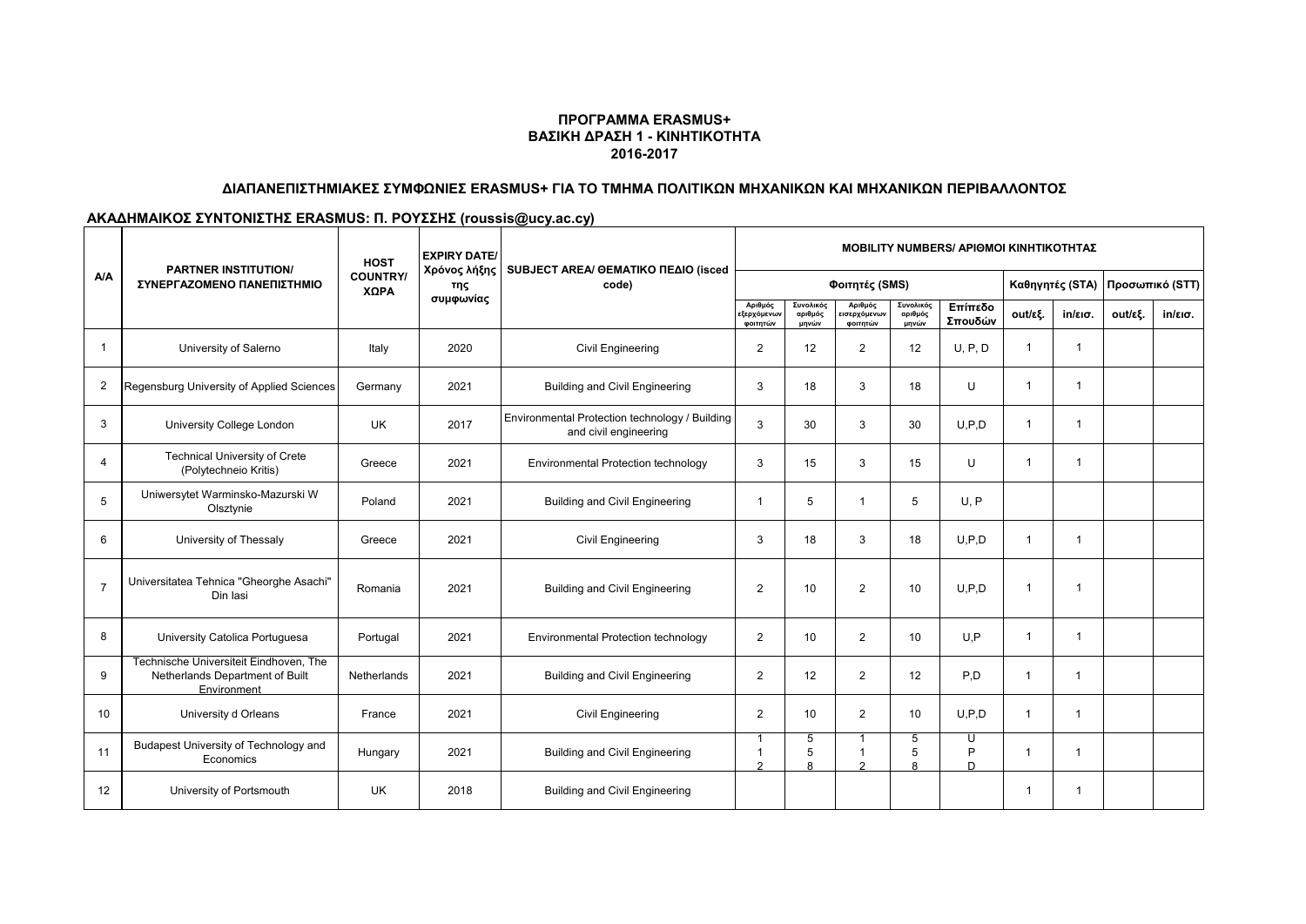#### **ΠΡΟΓΡΑΜΜΑ ERASMUS+ ΒΑΣΙΚΗ ΔΡΑΣΗ 1 - ΚΙΝΗΤΙΚΟΤΗΤΑ 2016-2017**

### **ΔΙΑΠΑΝΕΠΙΣΤΗΜΙΑΚΕΣ ΣΥΜΦΩΝΙΕΣ ERASMUS+ ΓΙΑ ΤΟ ΤΜΗΜΑ ΠΟΛΙΤΙΚΩΝ ΜΗΧΑΝΙΚΩΝ ΚΑΙ ΜΗΧΑΝΙΚΩΝ ΠΕΡΙΒΑΛΛΟΝΤΟΣ**

# **ΑΚΑΔΗΜΑΙΚΟΣ ΣΥΝΤΟΝΙΣΤΗΣ ERASMUS: Π. ΡΟΥΣΣΗΣ (roussis@ucy.ac.cy)**

| A/A            | <b>PARTNER INSTITUTION/</b><br>ΣΥΝΕΡΓΑΖΟΜΕΝΟ ΠΑΝΕΠΙΣΤΗΜΙΟ                                | <b>HOST</b><br><b>COUNTRY/</b><br>ΧΩΡΑ | <b>EXPIRY DATE/</b><br>Χρόνος λήξης<br>της<br>συμφωνίας | SUBJECT AREA/ @EMATIKO ΠΕΔΙΟ (isced<br>code)                            | <b>MOBILITY NUMBERS/ APIOMOI KINHTIKOTHTAZ</b>      |                               |                                                    |                               |                    |                         |                   |                                 |                   |
|----------------|------------------------------------------------------------------------------------------|----------------------------------------|---------------------------------------------------------|-------------------------------------------------------------------------|-----------------------------------------------------|-------------------------------|----------------------------------------------------|-------------------------------|--------------------|-------------------------|-------------------|---------------------------------|-------------------|
|                |                                                                                          |                                        |                                                         |                                                                         | Φοιτητές (SMS)                                      |                               |                                                    |                               |                    |                         |                   | Καθηγητές (STA) Προσωπικό (STT) |                   |
|                |                                                                                          |                                        |                                                         |                                                                         | Αριθμός<br>:ξερχόμε <mark>ν</mark> ων<br>φοιτητών   | Συνολικός<br>αριθμός<br>μηνών | Αριθμός<br>εισερχόμε <mark>ν</mark> ων<br>φοιτητών | Συνολικός<br>αριθμός<br>μηνών | Επίπεδο<br>Σπουδών | out/εξ.                 | $in/\epsilon$ ισ. | out/εξ.                         | $in/\epsilon$ ισ. |
| -1             | University of Salerno                                                                    | Italy                                  | 2020                                                    | <b>Civil Engineering</b>                                                | $\overline{2}$                                      | 12                            | 2                                                  | 12                            | U, P, D            | 1                       | -1                |                                 |                   |
| 2              | Regensburg University of Applied Sciences                                                | Germany                                | 2021                                                    | <b>Building and Civil Engineering</b>                                   | 3                                                   | 18                            | 3                                                  | 18                            | U                  | $\overline{\mathbf{1}}$ | -1                |                                 |                   |
| 3              | University College London                                                                | <b>UK</b>                              | 2017                                                    | Environmental Protection technology / Building<br>and civil engineering | 3                                                   | 30                            | 3                                                  | 30                            | U.P.D              | $\mathbf 1$             | -1                |                                 |                   |
| 4              | <b>Technical University of Crete</b><br>(Polytechneio Kritis)                            | Greece                                 | 2021                                                    | Environmental Protection technology                                     | 3                                                   | 15                            | 3                                                  | 15                            | U                  | $\mathbf 1$             | -1                |                                 |                   |
| 5              | Uniwersytet Warminsko-Mazurski W<br>Olsztynie                                            | Poland                                 | 2021                                                    | <b>Building and Civil Engineering</b>                                   | $\mathbf{1}$                                        | 5                             | $\mathbf 1$                                        | 5                             | U, P               |                         |                   |                                 |                   |
| 6              | University of Thessaly                                                                   | Greece                                 | 2021                                                    | Civil Engineering                                                       | 3                                                   | 18                            | 3                                                  | 18                            | U.P.D              | $\mathbf 1$             | -1                |                                 |                   |
| $\overline{7}$ | Universitatea Tehnica "Gheorghe Asachi"<br>Din lasi                                      | Romania                                | 2021                                                    | <b>Building and Civil Engineering</b>                                   | $\overline{2}$                                      | 10                            | $\overline{2}$                                     | 10                            | U.P.D              | 1                       |                   |                                 |                   |
| 8              | University Catolica Portuguesa                                                           | Portugal                               | 2021                                                    | Environmental Protection technology                                     | $\overline{2}$                                      | 10                            | $\overline{2}$                                     | 10                            | U.P                | 1                       |                   |                                 |                   |
| 9              | Technische Universiteit Eindhoven, The<br>Netherlands Department of Built<br>Environment | Netherlands                            | 2021                                                    | <b>Building and Civil Engineering</b>                                   | $\overline{2}$                                      | 12                            | $\overline{2}$                                     | 12                            | P.D                |                         | 1                 |                                 |                   |
| 10             | University d Orleans                                                                     | France                                 | 2021                                                    | <b>Civil Engineering</b>                                                | $\overline{2}$                                      | 10                            | $\overline{2}$                                     | 10                            | U.P.D              |                         | -1                |                                 |                   |
| 11             | Budapest University of Technology and<br>Economics                                       | Hungary                                | 2021                                                    | <b>Building and Civil Engineering</b>                                   | $\overline{\mathbf{1}}$<br>$\mathbf{1}$<br>$\Omega$ | 5<br>5<br>$\mathsf{R}$        | 1<br>$\Omega$                                      | 5<br>5                        | U<br>P<br>D        | 1                       | -1                |                                 |                   |
| 12             | University of Portsmouth                                                                 | <b>UK</b>                              | 2018                                                    | <b>Building and Civil Engineering</b>                                   |                                                     |                               |                                                    |                               |                    |                         |                   |                                 |                   |